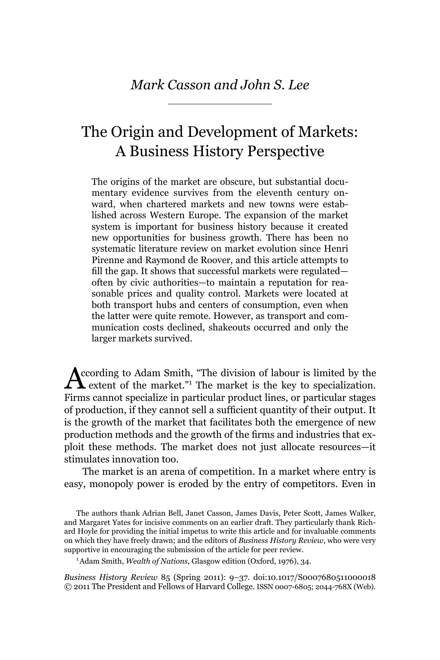# The Origin and Development of Markets: A Business History Perspective

The origins of the market are obscure, but substantial documentary evidence survives from the eleventh century onward, when chartered markets and new towns were established across Western Europe. The expansion of the market system is important for business history because it created new opportunities for business growth. There has been no systematic literature review on market evolution since Henri Pirenne and Raymond de Roover, and this article attempts to fill the gap. It shows that successful markets were regulated often by civic authorities—to maintain a reputation for reasonable prices and quality control. Markets were located at both transport hubs and centers of consumption, even when the latter were quite remote. However, as transport and communication costs declined, shakeouts occurred and only the larger markets survived.

According to Adam Smith, "The division of labour is limited by the extent of the market."<sup>1</sup> The market is the key to specialization. extent of the market."<sup>1</sup> The market is the key to specialization. Firms cannot specialize in particular product lines, or particular stages of production, if they cannot sell a sufficient quantity of their output. It is the growth of the market that facilitates both the emergence of new production methods and the growth of the firms and industries that exploit these methods. The market does not just allocate resources—it stimulates innovation too.

The market is an arena of competition. In a market where entry is easy, monopoly power is eroded by the entry of competitors. Even in

The authors thank Adrian Bell, Janet Casson, James Davis, Peter Scott, James Walker, and Margaret Yates for incisive comments on an earlier draft. They particularly thank Richard Hoyle for providing the initial impetus to write this article and for invaluable comments on which they have freely drawn; and the editors of *Business History Review*, who were very supportive in encouraging the submission of the article for peer review.

<sup>1</sup> Adam Smith, *Wealth of Nations*, Glasgow edition (Oxford, 1976), 34.

*Business History Review* 85 (Spring 2011): 9–37. doi:10.1017/S0007680511000018 © 2011 The President and Fellows of Harvard College. ISSN 0007-6805; 2044-768X (Web).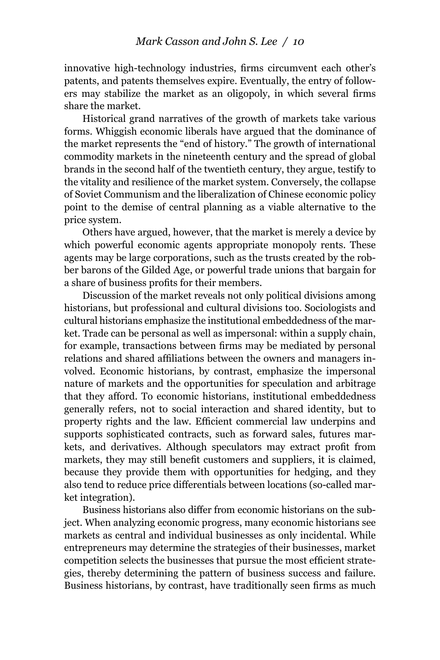innovative high-technology industries, firms circumvent each other's patents, and patents themselves expire. Eventually, the entry of followers may stabilize the market as an oligopoly, in which several firms share the market.

Historical grand narratives of the growth of markets take various forms. Whiggish economic liberals have argued that the dominance of the market represents the "end of history." The growth of international commodity markets in the nineteenth century and the spread of global brands in the second half of the twentieth century, they argue, testify to the vitality and resilience of the market system. Conversely, the collapse of Soviet Communism and the liberalization of Chinese economic policy point to the demise of central planning as a viable alternative to the price system.

Others have argued, however, that the market is merely a device by which powerful economic agents appropriate monopoly rents. These agents may be large corporations, such as the trusts created by the robber barons of the Gilded Age, or powerful trade unions that bargain for a share of business profits for their members.

Discussion of the market reveals not only political divisions among historians, but professional and cultural divisions too. Sociologists and cultural historians emphasize the institutional embeddedness of the market. Trade can be personal as well as impersonal: within a supply chain, for example, transactions between firms may be mediated by personal relations and shared affiliations between the owners and managers involved. Economic historians, by contrast, emphasize the impersonal nature of markets and the opportunities for speculation and arbitrage that they afford. To economic historians, institutional embeddedness generally refers, not to social interaction and shared identity, but to property rights and the law. Efficient commercial law underpins and supports sophisticated contracts, such as forward sales, futures markets, and derivatives. Although speculators may extract profit from markets, they may still benefit customers and suppliers, it is claimed, because they provide them with opportunities for hedging, and they also tend to reduce price differentials between locations (so-called market integration).

Business historians also differ from economic historians on the subject. When analyzing economic progress, many economic historians see markets as central and individual businesses as only incidental. While entrepreneurs may determine the strategies of their businesses, market competition selects the businesses that pursue the most efficient strategies, thereby determining the pattern of business success and failure. Business historians, by contrast, have traditionally seen firms as much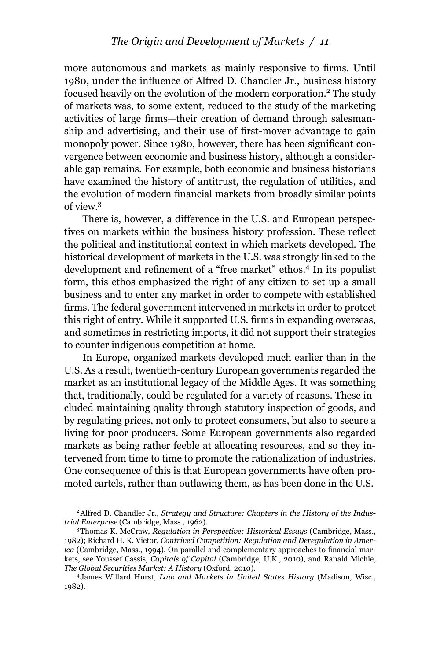more autonomous and markets as mainly responsive to firms. Until 1980, under the influence of Alfred D. Chandler Jr., business history focused heavily on the evolution of the modern corporation.<sup>2</sup> The study of markets was, to some extent, reduced to the study of the marketing activities of large firms—their creation of demand through salesmanship and advertising, and their use of first-mover advantage to gain monopoly power. Since 1980, however, there has been significant convergence between economic and business history, although a considerable gap remains. For example, both economic and business historians have examined the history of antitrust, the regulation of utilities, and the evolution of modern financial markets from broadly similar points of view.<sup>3</sup>

There is, however, a difference in the U.S. and European perspectives on markets within the business history profession. These reflect the political and institutional context in which markets developed. The historical development of markets in the U.S. was strongly linked to the development and refinement of a "free market" ethos.<sup>4</sup> In its populist form, this ethos emphasized the right of any citizen to set up a small business and to enter any market in order to compete with established firms. The federal government intervened in markets in order to protect this right of entry. While it supported U.S. firms in expanding overseas, and sometimes in restricting imports, it did not support their strategies to counter indigenous competition at home.

In Europe, organized markets developed much earlier than in the U.S. As a result, twentieth-century European governments regarded the market as an institutional legacy of the Middle Ages. It was something that, traditionally, could be regulated for a variety of reasons. These included maintaining quality through statutory inspection of goods, and by regulating prices, not only to protect consumers, but also to secure a living for poor producers. Some European governments also regarded markets as being rather feeble at allocating resources, and so they intervened from time to time to promote the rationalization of industries. One consequence of this is that European governments have often promoted cartels, rather than outlawing them, as has been done in the U.S.

<sup>&</sup>lt;sup>2</sup> Alfred D. Chandler Jr., *Strategy and Structure: Chapters in the History of the Industrial Enterprise* (Cambridge, Mass., 1962).

<sup>3</sup> Thomas K. McCraw, *Regulation in Perspective: Historical Essays* (Cambridge, Mass., 1982); Richard H. K. Vietor, *Contrived Competition: Regulation and Deregulation in America* (Cambridge, Mass., 1994). On parallel and complementary approaches to financial markets, see Youssef Cassis, *Capitals of Capital* (Cambridge, U.K., 2010), and Ranald Michie, *The Global Securities Market: A History* (Oxford, 2010).

<sup>4</sup> James Willard Hurst, *Law and Markets in United States History* (Madison, Wisc., 1982).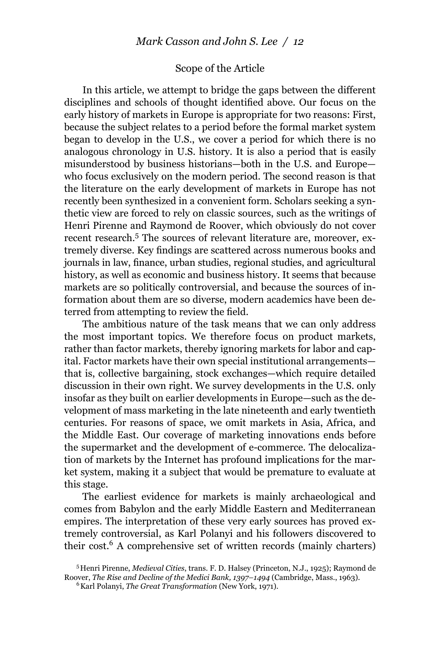# *Mark Casson and John S. Lee / 12*

## Scope of the Article

In this article, we attempt to bridge the gaps between the different disciplines and schools of thought identified above. Our focus on the early history of markets in Europe is appropriate for two reasons: First, because the subject relates to a period before the formal market system began to develop in the U.S., we cover a period for which there is no analogous chronology in U.S. history. It is also a period that is easily misunderstood by business historians—both in the U.S. and Europe who focus exclusively on the modern period. The second reason is that the literature on the early development of markets in Europe has not recently been synthesized in a convenient form. Scholars seeking a synthetic view are forced to rely on classic sources, such as the writings of Henri Pirenne and Raymond de Roover, which obviously do not cover recent research.<sup>5</sup> The sources of relevant literature are, moreover, extremely diverse. Key findings are scattered across numerous books and journals in law, finance, urban studies, regional studies, and agricultural history, as well as economic and business history. It seems that because markets are so politically controversial, and because the sources of information about them are so diverse, modern academics have been deterred from attempting to review the field.

The ambitious nature of the task means that we can only address the most important topics. We therefore focus on product markets, rather than factor markets, thereby ignoring markets for labor and capital. Factor markets have their own special institutional arrangements that is, collective bargaining, stock exchanges—which require detailed discussion in their own right. We survey developments in the U.S. only insofar as they built on earlier developments in Europe—such as the development of mass marketing in the late nineteenth and early twentieth centuries. For reasons of space, we omit markets in Asia, Africa, and the Middle East. Our coverage of marketing innovations ends before the supermarket and the development of e-commerce. The delocalization of markets by the Internet has profound implications for the market system, making it a subject that would be premature to evaluate at this stage.

The earliest evidence for markets is mainly archaeological and comes from Babylon and the early Middle Eastern and Mediterranean empires. The interpretation of these very early sources has proved extremely controversial, as Karl Polanyi and his followers discovered to their cost.<sup>6</sup> A comprehensive set of written records (mainly charters)

<sup>5</sup> Henri Pirenne, *Medieval Cities*, trans. F. D. Halsey (Princeton, N.J., 1925); Raymond de Roover, *The Rise and Decline of the Medici Bank, 1397–1494* (Cambridge, Mass., 1963).

<sup>6</sup> Karl Polanyi, *The Great Transformation* (New York, 1971).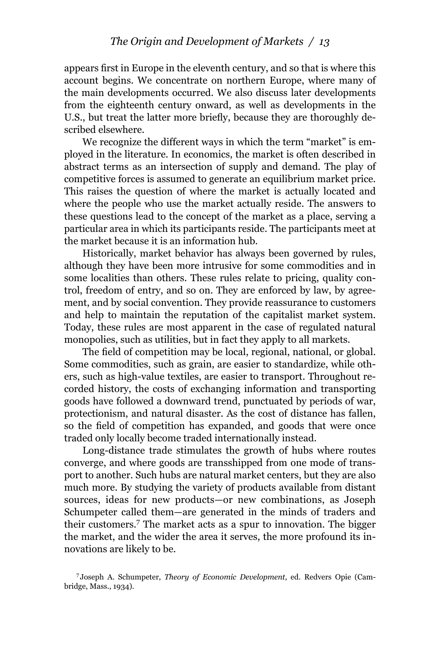appears first in Europe in the eleventh century, and so that is where this account begins. We concentrate on northern Europe, where many of the main developments occurred. We also discuss later developments from the eighteenth century onward, as well as developments in the U.S., but treat the latter more briefly, because they are thoroughly described elsewhere.

We recognize the different ways in which the term "market" is employed in the literature. In economics, the market is often described in abstract terms as an intersection of supply and demand. The play of competitive forces is assumed to generate an equilibrium market price. This raises the question of where the market is actually located and where the people who use the market actually reside. The answers to these questions lead to the concept of the market as a place, serving a particular area in which its participants reside. The participants meet at the market because it is an information hub.

Historically, market behavior has always been governed by rules, although they have been more intrusive for some commodities and in some localities than others. These rules relate to pricing, quality control, freedom of entry, and so on. They are enforced by law, by agreement, and by social convention. They provide reassurance to customers and help to maintain the reputation of the capitalist market system. Today, these rules are most apparent in the case of regulated natural monopolies, such as utilities, but in fact they apply to all markets.

The field of competition may be local, regional, national, or global. Some commodities, such as grain, are easier to standardize, while others, such as high-value textiles, are easier to transport. Throughout recorded history, the costs of exchanging information and transporting goods have followed a downward trend, punctuated by periods of war, protectionism, and natural disaster. As the cost of distance has fallen, so the field of competition has expanded, and goods that were once traded only locally become traded internationally instead.

Long-distance trade stimulates the growth of hubs where routes converge, and where goods are transshipped from one mode of transport to another. Such hubs are natural market centers, but they are also much more. By studying the variety of products available from distant sources, ideas for new products—or new combinations, as Joseph Schumpeter called them—are generated in the minds of traders and their customers.<sup>7</sup> The market acts as a spur to innovation. The bigger the market, and the wider the area it serves, the more profound its innovations are likely to be.

<sup>7</sup> Joseph A. Schumpeter, *Theory of Economic Development*, ed. Redvers Opie (Cambridge, Mass., 1934).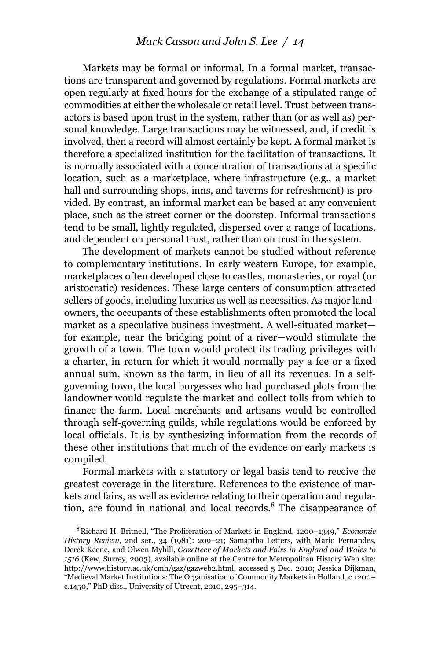Markets may be formal or informal. In a formal market, transactions are transparent and governed by regulations. Formal markets are open regularly at fixed hours for the exchange of a stipulated range of commodities at either the wholesale or retail level. Trust between transactors is based upon trust in the system, rather than (or as well as) personal knowledge. Large transactions may be witnessed, and, if credit is involved, then a record will almost certainly be kept. A formal market is therefore a specialized institution for the facilitation of transactions. It is normally associated with a concentration of transactions at a specific location, such as a marketplace, where infrastructure (e.g., a market hall and surrounding shops, inns, and taverns for refreshment) is provided. By contrast, an informal market can be based at any convenient place, such as the street corner or the doorstep. Informal transactions tend to be small, lightly regulated, dispersed over a range of locations, and dependent on personal trust, rather than on trust in the system.

The development of markets cannot be studied without reference to complementary institutions. In early western Europe, for example, marketplaces often developed close to castles, monasteries, or royal (or aristocratic) residences. These large centers of consumption attracted sellers of goods, including luxuries as well as necessities. As major landowners, the occupants of these establishments often promoted the local market as a speculative business investment. A well-situated market for example, near the bridging point of a river—would stimulate the growth of a town. The town would protect its trading privileges with a charter, in return for which it would normally pay a fee or a fixed annual sum, known as the farm, in lieu of all its revenues. In a selfgoverning town, the local burgesses who had purchased plots from the landowner would regulate the market and collect tolls from which to finance the farm. Local merchants and artisans would be controlled through self-governing guilds, while regulations would be enforced by local officials. It is by synthesizing information from the records of these other institutions that much of the evidence on early markets is compiled.

Formal markets with a statutory or legal basis tend to receive the greatest coverage in the literature. References to the existence of markets and fairs, as well as evidence relating to their operation and regulation, are found in national and local records.8 The disappearance of

<sup>8</sup> Richard H. Britnell, "The Proliferation of Markets in England, 1200–1349," *Economic History Review*, 2nd ser., 34 (1981): 209–21; Samantha Letters, with Mario Fernandes, Derek Keene, and Olwen Myhill, *Gazetteer of Markets and Fairs in England and Wales to 1516* (Kew, Surrey, 2003), available online at the Centre for Metropolitan History Web site: http://www.history.ac.uk/cmh/gaz/gazweb2.html, accessed 5 Dec. 2010; Jessica Dijkman, "Medieval Market Institutions: The Organisation of Commodity Markets in Holland, c.1200– c.1450," PhD diss., University of Utrecht, 2010, 295–314.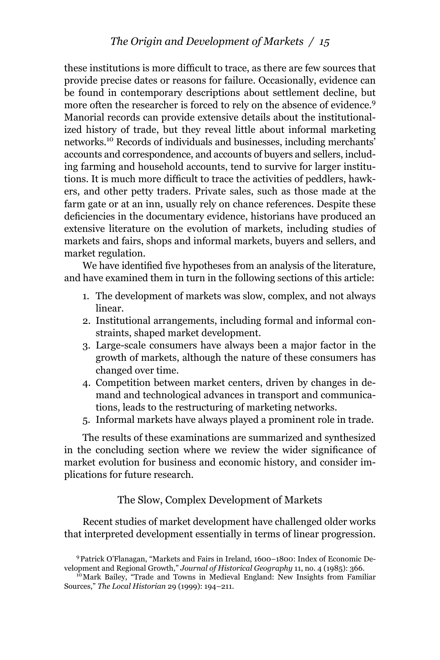these institutions is more difficult to trace, as there are few sources that provide precise dates or reasons for failure. Occasionally, evidence can be found in contemporary descriptions about settlement decline, but more often the researcher is forced to rely on the absence of evidence.<sup>9</sup> Manorial records can provide extensive details about the institutionalized history of trade, but they reveal little about informal marketing networks.10 Records of individuals and businesses, including merchants' accounts and correspondence, and accounts of buyers and sellers, including farming and household accounts, tend to survive for larger institutions. It is much more difficult to trace the activities of peddlers, hawkers, and other petty traders. Private sales, such as those made at the farm gate or at an inn, usually rely on chance references. Despite these deficiencies in the documentary evidence, historians have produced an extensive literature on the evolution of markets, including studies of markets and fairs, shops and informal markets, buyers and sellers, and market regulation.

We have identified five hypotheses from an analysis of the literature, and have examined them in turn in the following sections of this article:

- 1. The development of markets was slow, complex, and not always linear.
- 2. Institutional arrangements, including formal and informal constraints, shaped market development.
- 3. Large-scale consumers have always been a major factor in the growth of markets, although the nature of these consumers has changed over time.
- 4. Competition between market centers, driven by changes in demand and technological advances in transport and communications, leads to the restructuring of marketing networks.
- 5. Informal markets have always played a prominent role in trade.

The results of these examinations are summarized and synthesized in the concluding section where we review the wider significance of market evolution for business and economic history, and consider implications for future research.

# The Slow, Complex Development of Markets

Recent studies of market development have challenged older works that interpreted development essentially in terms of linear progression.

<sup>9</sup> Patrick O'Flanagan, "Markets and Fairs in Ireland, 1600–1800: Index of Economic Development and Regional Growth," *Journal of Historical Geography* 11, no. 4 (1985): 366.

<sup>&</sup>lt;sup>10</sup> Mark Bailey, "Trade and Towns in Medieval England: New Insights from Familiar Sources," *The Local Historian* 29 (1999): 194–211.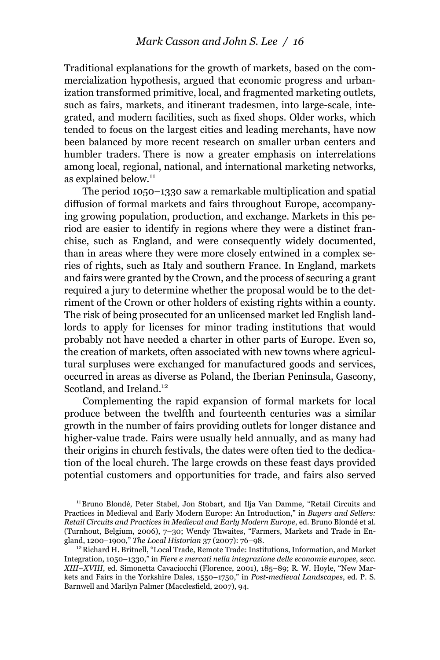Traditional explanations for the growth of markets, based on the commercialization hypothesis, argued that economic progress and urbanization transformed primitive, local, and fragmented marketing outlets, such as fairs, markets, and itinerant tradesmen, into large-scale, integrated, and modern facilities, such as fixed shops. Older works, which tended to focus on the largest cities and leading merchants, have now been balanced by more recent research on smaller urban centers and humbler traders. There is now a greater emphasis on interrelations among local, regional, national, and international marketing networks, as explained below.<sup>11</sup>

The period 1050–1330 saw a remarkable multiplication and spatial diffusion of formal markets and fairs throughout Europe, accompanying growing population, production, and exchange. Markets in this period are easier to identify in regions where they were a distinct franchise, such as England, and were consequently widely documented, than in areas where they were more closely entwined in a complex series of rights, such as Italy and southern France. In England, markets and fairs were granted by the Crown, and the process of securing a grant required a jury to determine whether the proposal would be to the detriment of the Crown or other holders of existing rights within a county. The risk of being prosecuted for an unlicensed market led English landlords to apply for licenses for minor trading institutions that would probably not have needed a charter in other parts of Europe. Even so, the creation of markets, often associated with new towns where agricultural surpluses were exchanged for manufactured goods and services, occurred in areas as diverse as Poland, the Iberian Peninsula, Gascony, Scotland, and Ireland.<sup>12</sup>

Complementing the rapid expansion of formal markets for local produce between the twelfth and fourteenth centuries was a similar growth in the number of fairs providing outlets for longer distance and higher-value trade. Fairs were usually held annually, and as many had their origins in church festivals, the dates were often tied to the dedication of the local church. The large crowds on these feast days provided potential customers and opportunities for trade, and fairs also served

<sup>11</sup> Bruno Blondé, Peter Stabel, Jon Stobart, and Ilja Van Damme, "Retail Circuits and Practices in Medieval and Early Modern Europe: An Introduction," in *Buyers and Sellers: Retail Circuits and Practices in Medieval and Early Modern Europe*, ed. Bruno Blondé et al. (Turnhout, Belgium, 2006), 7–30; Wendy Thwaites, "Farmers, Markets and Trade in England, 1200–1900," *The Local Historian* 37 (2007): 76–98.

<sup>12</sup> Richard H. Britnell, "Local Trade, Remote Trade: Institutions, Information, and Market Integration, 1050–1330," in *Fiere e mercati nella integrazione delle economie europee, secc. XIII–XVIII*, ed. Simonetta Cavaciocchi (Florence, 2001), 185–89; R. W. Hoyle, "New Markets and Fairs in the Yorkshire Dales, 1550–1750," in *Post-medieval Landscapes*, ed. P. S. Barnwell and Marilyn Palmer (Macclesfield, 2007), 94.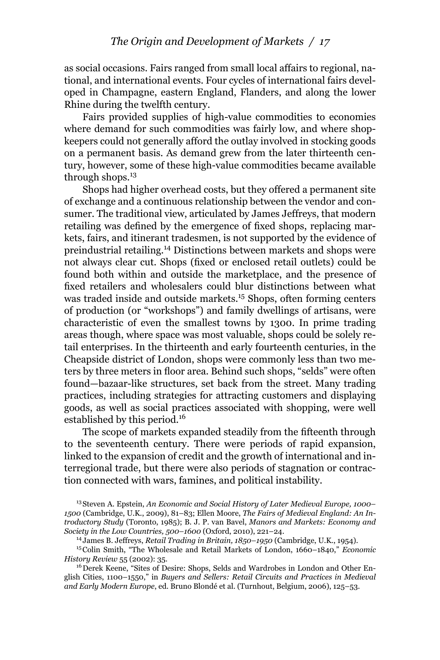as social occasions. Fairs ranged from small local affairs to regional, national, and international events. Four cycles of international fairs developed in Champagne, eastern England, Flanders, and along the lower Rhine during the twelfth century.

Fairs provided supplies of high-value commodities to economies where demand for such commodities was fairly low, and where shopkeepers could not generally afford the outlay involved in stocking goods on a permanent basis. As demand grew from the later thirteenth century, however, some of these high-value commodities became available through shops.<sup>13</sup>

Shops had higher overhead costs, but they offered a permanent site of exchange and a continuous relationship between the vendor and consumer. The traditional view, articulated by James Jeffreys, that modern retailing was defined by the emergence of fixed shops, replacing markets, fairs, and itinerant tradesmen, is not supported by the evidence of preindustrial retailing.14 Distinctions between markets and shops were not always clear cut. Shops (fixed or enclosed retail outlets) could be found both within and outside the marketplace, and the presence of fixed retailers and wholesalers could blur distinctions between what was traded inside and outside markets.<sup>15</sup> Shops, often forming centers of production (or "workshops") and family dwellings of artisans, were characteristic of even the smallest towns by 1300. In prime trading areas though, where space was most valuable, shops could be solely retail enterprises. In the thirteenth and early fourteenth centuries, in the Cheapside district of London, shops were commonly less than two meters by three meters in floor area. Behind such shops, "selds" were often found—bazaar-like structures, set back from the street. Many trading practices, including strategies for attracting customers and displaying goods, as well as social practices associated with shopping, were well established by this period.<sup>16</sup>

The scope of markets expanded steadily from the fifteenth through to the seventeenth century. There were periods of rapid expansion, linked to the expansion of credit and the growth of international and interregional trade, but there were also periods of stagnation or contraction connected with wars, famines, and political instability.

13 Steven A. Epstein, *An Economic and Social History of Later Medieval Europe, 1000– 1500* (Cambridge, U.K., 2009), 81–83; Ellen Moore, *The Fairs of Medieval England: An Introductory Study* (Toronto, 1985); B. J. P. van Bavel, *Manors and Markets: Economy and Society in the Low Countries, 500–1600* (Oxford, 2010), 221–24.

14 James B. Jeffreys, *Retail Trading in Britain, 1850–1950* (Cambridge, U.K., 1954).

15 Colin Smith, "The Wholesale and Retail Markets of London, 1660–1840," *Economic History Review* 55 (2002): 35.

16 Derek Keene, "Sites of Desire: Shops, Selds and Wardrobes in London and Other English Cities, 1100–1550," in *Buyers and Sellers: Retail Circuits and Practices in Medieval and Early Modern Europe*, ed. Bruno Blondé et al. (Turnhout, Belgium, 2006), 125–53.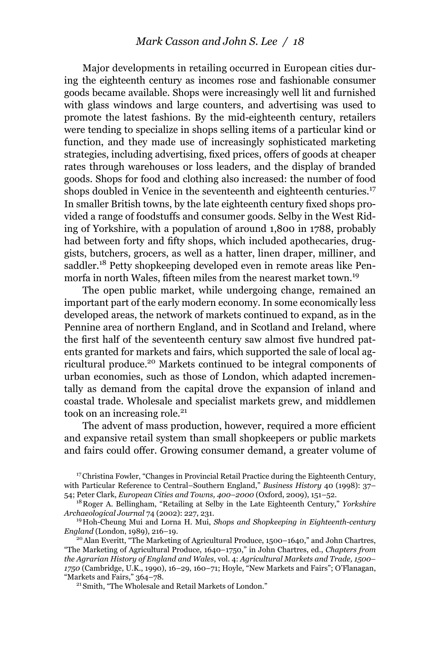Major developments in retailing occurred in European cities during the eighteenth century as incomes rose and fashionable consumer goods became available. Shops were increasingly well lit and furnished with glass windows and large counters, and advertising was used to promote the latest fashions. By the mid-eighteenth century, retailers were tending to specialize in shops selling items of a particular kind or function, and they made use of increasingly sophisticated marketing strategies, including advertising, fixed prices, offers of goods at cheaper rates through warehouses or loss leaders, and the display of branded goods. Shops for food and clothing also increased: the number of food shops doubled in Venice in the seventeenth and eighteenth centuries.<sup>17</sup> In smaller British towns, by the late eighteenth century fixed shops provided a range of foodstuffs and consumer goods. Selby in the West Riding of Yorkshire, with a population of around 1,800 in 1788, probably had between forty and fifty shops, which included apothecaries, druggists, butchers, grocers, as well as a hatter, linen draper, milliner, and saddler.18 Petty shopkeeping developed even in remote areas like Penmorfa in north Wales, fifteen miles from the nearest market town.<sup>19</sup>

The open public market, while undergoing change, remained an important part of the early modern economy. In some economically less developed areas, the network of markets continued to expand, as in the Pennine area of northern England, and in Scotland and Ireland, where the first half of the seventeenth century saw almost five hundred patents granted for markets and fairs, which supported the sale of local agricultural produce.20 Markets continued to be integral components of urban economies, such as those of London, which adapted incrementally as demand from the capital drove the expansion of inland and coastal trade. Wholesale and specialist markets grew, and middlemen took on an increasing role.<sup>21</sup>

The advent of mass production, however, required a more efficient and expansive retail system than small shopkeepers or public markets and fairs could offer. Growing consumer demand, a greater volume of

<sup>17</sup> Christina Fowler, "Changes in Provincial Retail Practice during the Eighteenth Century, with Particular Reference to Central–Southern England," *Business History* 40 (1998): 37– 54; Peter Clark, *European Cities and Towns, 400–2000* (Oxford, 2009), 151–52.

18 Roger A. Bellingham, "Retailing at Selby in the Late Eighteenth Century," *Yorkshire Archaeological Journal* 74 (2002): 227, 231.

19 Hoh-Cheung Mui and Lorna H. Mui, *Shops and Shopkeeping in Eighteenth-century England* (London, 1989), 216–19.

20 Alan Everitt, "The Marketing of Agricultural Produce, 1500–1640," and John Chartres, "The Marketing of Agricultural Produce, 1640–1750," in John Chartres, ed., *Chapters from the Agrarian History of England and Wales*, vol. 4: *Agricultural Markets and Trade, 1500– 1750* (Cambridge, U.K., 1990), 16–29, 160–71; Hoyle, "New Markets and Fairs"; O'Flanagan, "Markets and Fairs," 364–78.

21 Smith, "The Wholesale and Retail Markets of London."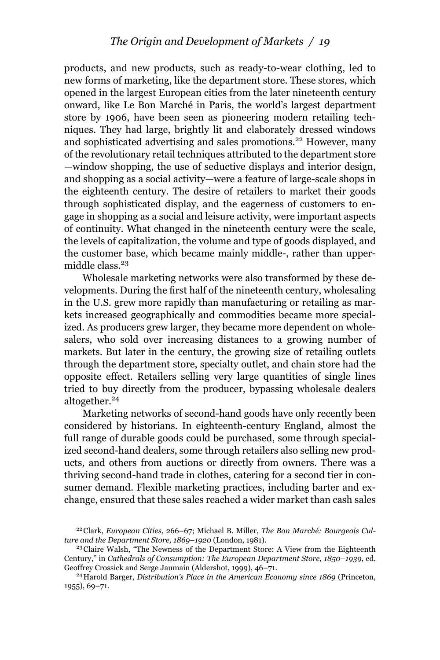products, and new products, such as ready-to-wear clothing, led to new forms of marketing, like the department store. These stores, which opened in the largest European cities from the later nineteenth century onward, like Le Bon Marché in Paris, the world's largest department store by 1906, have been seen as pioneering modern retailing techniques. They had large, brightly lit and elaborately dressed windows and sophisticated advertising and sales promotions.<sup>22</sup> However, many of the revolutionary retail techniques attributed to the department store —window shopping, the use of seductive displays and interior design, and shopping as a social activity—were a feature of large-scale shops in the eighteenth century. The desire of retailers to market their goods through sophisticated display, and the eagerness of customers to engage in shopping as a social and leisure activity, were important aspects of continuity. What changed in the nineteenth century were the scale, the levels of capitalization, the volume and type of goods displayed, and the customer base, which became mainly middle-, rather than uppermiddle class.<sup>23</sup>

Wholesale marketing networks were also transformed by these developments. During the first half of the nineteenth century, wholesaling in the U.S. grew more rapidly than manufacturing or retailing as markets increased geographically and commodities became more specialized. As producers grew larger, they became more dependent on wholesalers, who sold over increasing distances to a growing number of markets. But later in the century, the growing size of retailing outlets through the department store, specialty outlet, and chain store had the opposite effect. Retailers selling very large quantities of single lines tried to buy directly from the producer, bypassing wholesale dealers altogether.<sup>24</sup>

Marketing networks of second-hand goods have only recently been considered by historians. In eighteenth-century England, almost the full range of durable goods could be purchased, some through specialized second-hand dealers, some through retailers also selling new products, and others from auctions or directly from owners. There was a thriving second-hand trade in clothes, catering for a second tier in consumer demand. Flexible marketing practices, including barter and exchange, ensured that these sales reached a wider market than cash sales

24 Harold Barger, *Distribution's Place in the American Economy since 1869* (Princeton, 1955), 69–71.

<sup>22</sup> Clark, *European Cities*, 266–67; Michael B. Miller, *The Bon Marché: Bourgeois Culture and the Department Store, 1869–1920* (London, 1981).

<sup>&</sup>lt;sup>23</sup> Claire Walsh, "The Newness of the Department Store: A View from the Eighteenth Century," in *Cathedrals of Consumption: The European Department Store, 1850–1939*, ed. Geoffrey Crossick and Serge Jaumain (Aldershot, 1999), 46–71.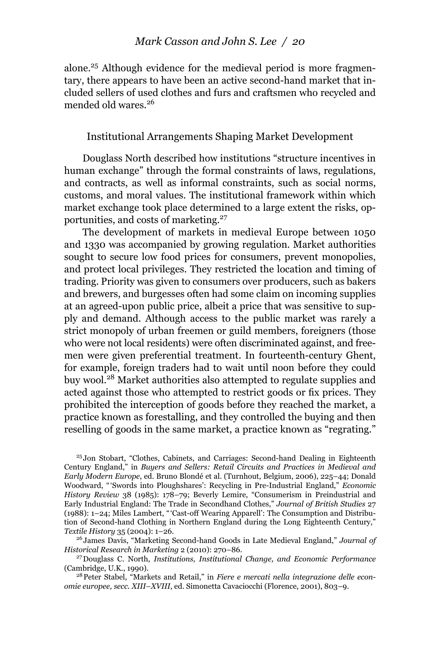alone.25 Although evidence for the medieval period is more fragmentary, there appears to have been an active second-hand market that included sellers of used clothes and furs and craftsmen who recycled and mended old wares.<sup>26</sup>

## Institutional Arrangements Shaping Market Development

Douglass North described how institutions "structure incentives in human exchange" through the formal constraints of laws, regulations, and contracts, as well as informal constraints, such as social norms, customs, and moral values. The institutional framework within which market exchange took place determined to a large extent the risks, opportunities, and costs of marketing.<sup>27</sup>

The development of markets in medieval Europe between 1050 and 1330 was accompanied by growing regulation. Market authorities sought to secure low food prices for consumers, prevent monopolies, and protect local privileges. They restricted the location and timing of trading. Priority was given to consumers over producers, such as bakers and brewers, and burgesses often had some claim on incoming supplies at an agreed-upon public price, albeit a price that was sensitive to supply and demand. Although access to the public market was rarely a strict monopoly of urban freemen or guild members, foreigners (those who were not local residents) were often discriminated against, and freemen were given preferential treatment. In fourteenth-century Ghent, for example, foreign traders had to wait until noon before they could buy wool.28 Market authorities also attempted to regulate supplies and acted against those who attempted to restrict goods or fix prices. They prohibited the interception of goods before they reached the market, a practice known as forestalling, and they controlled the buying and then reselling of goods in the same market, a practice known as "regrating."

25 Jon Stobart, "Clothes, Cabinets, and Carriages: Second-hand Dealing in Eighteenth Century England," in *Buyers and Sellers: Retail Circuits and Practices in Medieval and Early Modern Europe*, ed. Bruno Blondé et al. (Turnhout, Belgium, 2006), 225–44; Donald Woodward, " 'Swords into Ploughshares': Recycling in Pre-Industrial England," *Economic History Review* 38 (1985): 178–79; Beverly Lemire, "Consumerism in Preindustrial and Early Industrial England: The Trade in Secondhand Clothes," *Journal of British Studies* 27 (1988): 1–24; Miles Lambert, " 'Cast-off Wearing Apparell': The Consumption and Distribution of Second-hand Clothing in Northern England during the Long Eighteenth Century," *Textile History* 35 (2004): 1–26.

26 James Davis, "Marketing Second-hand Goods in Late Medieval England," *Journal of Historical Research in Marketing* 2 (2010): 270–86.

27 Douglass C. North, *Institutions, Institutional Change, and Economic Performance* (Cambridge, U.K., 1990).

28 Peter Stabel, "Markets and Retail," in *Fiere e mercati nella integrazione delle economie europee, secc. XIII–XVIII*, ed. Simonetta Cavaciocchi (Florence, 2001), 803–9.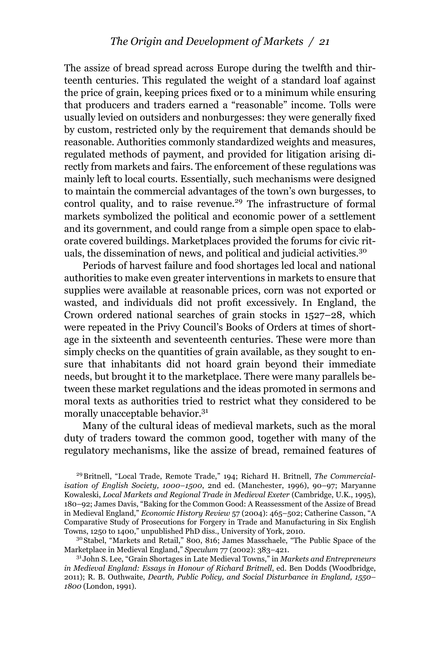The assize of bread spread across Europe during the twelfth and thirteenth centuries. This regulated the weight of a standard loaf against the price of grain, keeping prices fixed or to a minimum while ensuring that producers and traders earned a "reasonable" income. Tolls were usually levied on outsiders and nonburgesses: they were generally fixed by custom, restricted only by the requirement that demands should be reasonable. Authorities commonly standardized weights and measures, regulated methods of payment, and provided for litigation arising directly from markets and fairs. The enforcement of these regulations was mainly left to local courts. Essentially, such mechanisms were designed to maintain the commercial advantages of the town's own burgesses, to control quality, and to raise revenue.<sup>29</sup> The infrastructure of formal markets symbolized the political and economic power of a settlement and its government, and could range from a simple open space to elaborate covered buildings. Marketplaces provided the forums for civic rituals, the dissemination of news, and political and judicial activities.<sup>30</sup>

Periods of harvest failure and food shortages led local and national authorities to make even greater interventions in markets to ensure that supplies were available at reasonable prices, corn was not exported or wasted, and individuals did not profit excessively. In England, the Crown ordered national searches of grain stocks in 1527–28, which were repeated in the Privy Council's Books of Orders at times of shortage in the sixteenth and seventeenth centuries. These were more than simply checks on the quantities of grain available, as they sought to ensure that inhabitants did not hoard grain beyond their immediate needs, but brought it to the marketplace. There were many parallels between these market regulations and the ideas promoted in sermons and moral texts as authorities tried to restrict what they considered to be morally unacceptable behavior.<sup>31</sup>

Many of the cultural ideas of medieval markets, such as the moral duty of traders toward the common good, together with many of the regulatory mechanisms, like the assize of bread, remained features of

29 Britnell, "Local Trade, Remote Trade," 194; Richard H. Britnell, *The Commercialisation of English Society, 1000–1500*, 2nd ed. (Manchester, 1996), 90–97; Maryanne Kowaleski, *Local Markets and Regional Trade in Medieval Exeter* (Cambridge, U.K., 1995), 180–92; James Davis, "Baking for the Common Good: A Reassessment of the Assize of Bread in Medieval England," *Economic History Review* 57 (2004): 465–502; Catherine Casson, "A Comparative Study of Prosecutions for Forgery in Trade and Manufacturing in Six English Towns, 1250 to 1400," unpublished PhD diss., University of York, 2010.

30 Stabel, "Markets and Retail," 800, 816; James Masschaele, "The Public Space of the Marketplace in Medieval England," *Speculum* 77 (2002): 383–421.

31 John S. Lee, "Grain Shortages in Late Medieval Towns," in *Markets and Entrepreneurs in Medieval England: Essays in Honour of Richard Britnell*, ed. Ben Dodds (Woodbridge, 2011); R. B. Outhwaite, *Dearth, Public Policy, and Social Disturbance in England, 1550– 1800* (London, 1991).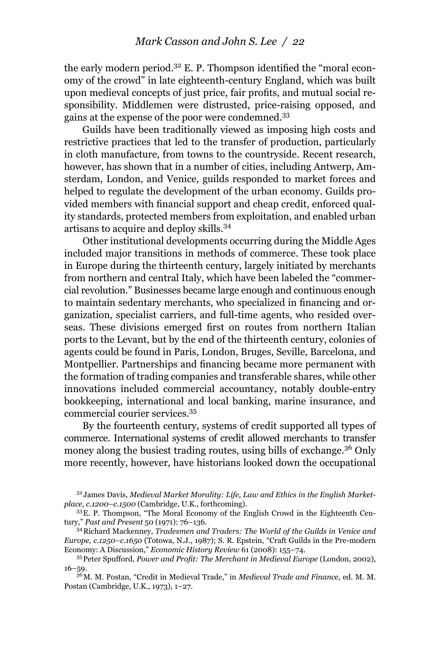the early modern period.<sup>32</sup> E. P. Thompson identified the "moral economy of the crowd" in late eighteenth-century England, which was built upon medieval concepts of just price, fair profits, and mutual social responsibility. Middlemen were distrusted, price-raising opposed, and gains at the expense of the poor were condemned.<sup>33</sup>

Guilds have been traditionally viewed as imposing high costs and restrictive practices that led to the transfer of production, particularly in cloth manufacture, from towns to the countryside. Recent research, however, has shown that in a number of cities, including Antwerp, Amsterdam, London, and Venice, guilds responded to market forces and helped to regulate the development of the urban economy. Guilds provided members with financial support and cheap credit, enforced quality standards, protected members from exploitation, and enabled urban artisans to acquire and deploy skills.<sup>34</sup>

Other institutional developments occurring during the Middle Ages included major transitions in methods of commerce. These took place in Europe during the thirteenth century, largely initiated by merchants from northern and central Italy, which have been labeled the "commercial revolution." Businesses became large enough and continuous enough to maintain sedentary merchants, who specialized in financing and organization, specialist carriers, and full-time agents, who resided overseas. These divisions emerged first on routes from northern Italian ports to the Levant, but by the end of the thirteenth century, colonies of agents could be found in Paris, London, Bruges, Seville, Barcelona, and Montpellier. Partnerships and financing became more permanent with the formation of trading companies and transferable shares, while other innovations included commercial accountancy, notably double-entry bookkeeping, international and local banking, marine insurance, and commercial courier services.<sup>35</sup>

By the fourteenth century, systems of credit supported all types of commerce. International systems of credit allowed merchants to transfer money along the busiest trading routes, using bills of exchange.<sup>36</sup> Only more recently, however, have historians looked down the occupational

36 M. M. Postan, "Credit in Medieval Trade," in *Medieval Trade and Finance*, ed. M. M. Postan (Cambridge, U.K., 1973), 1–27.

<sup>32</sup> James Davis, *Medieval Market Morality: Life, Law and Ethics in the English Marketplace, c.1200–c.1500* (Cambridge, U.K., forthcoming).

<sup>33</sup> E. P. Thompson, "The Moral Economy of the English Crowd in the Eighteenth Century," *Past and Present* 50 (1971): 76–136.

<sup>34</sup> Richard Mackenney, *Tradesmen and Traders: The World of the Guilds in Venice and Europe, c.1250–c.1650* (Totowa, N.J., 1987); S. R. Epstein, "Craft Guilds in the Pre-modern Economy: A Discussion," *Economic History Review* 61 (2008): 155–74.

<sup>&</sup>lt;sup>35</sup> Peter Spufford, *Power and Profit: The Merchant in Medieval Europe* (London, 2002), 16–59.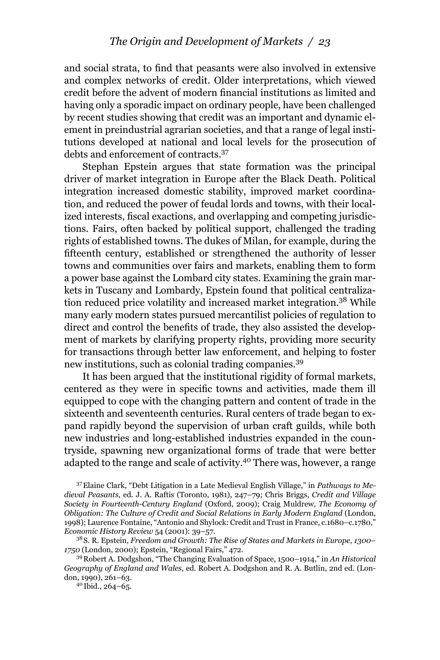and social strata, to find that peasants were also involved in extensive and complex networks of credit. Older interpretations, which viewed credit before the advent of modern financial institutions as limited and having only a sporadic impact on ordinary people, have been challenged by recent studies showing that credit was an important and dynamic element in preindustrial agrarian societies, and that a range of legal institutions developed at national and local levels for the prosecution of debts and enforcement of contracts.<sup>37</sup>

Stephan Epstein argues that state formation was the principal driver of market integration in Europe after the Black Death. Political integration increased domestic stability, improved market coordination, and reduced the power of feudal lords and towns, with their localized interests, fiscal exactions, and overlapping and competing jurisdictions. Fairs, often backed by political support, challenged the trading rights of established towns. The dukes of Milan, for example, during the fifteenth century, established or strengthened the authority of lesser towns and communities over fairs and markets, enabling them to form a power base against the Lombard city states. Examining the grain markets in Tuscany and Lombardy, Epstein found that political centralization reduced price volatility and increased market integration.38 While many early modern states pursued mercantilist policies of regulation to direct and control the benefits of trade, they also assisted the development of markets by clarifying property rights, providing more security for transactions through better law enforcement, and helping to foster new institutions, such as colonial trading companies.<sup>39</sup>

It has been argued that the institutional rigidity of formal markets, centered as they were in specific towns and activities, made them ill equipped to cope with the changing pattern and content of trade in the sixteenth and seventeenth centuries. Rural centers of trade began to expand rapidly beyond the supervision of urban craft guilds, while both new industries and long-established industries expanded in the countryside, spawning new organizational forms of trade that were better adapted to the range and scale of activity.<sup>40</sup> There was, however, a range

37 Elaine Clark, "Debt Litigation in a Late Medieval English Village," in *Pathways to Medieval Peasants*, ed. J. A. Raftis (Toronto, 1981), 247–79; Chris Briggs, *Credit and Village Society in Fourteenth-Century England* (Oxford, 2009); Craig Muldrew, *The Economy of Obligation: The Culture of Credit and Social Relations in Early Modern England* (London, 1998); Laurence Fontaine, "Antonio and Shylock: Credit and Trust in France, c.1680–c.1780," *Economic History Review* 54 (2001): 39–57.

38 S. R. Epstein, *Freedom and Growth: The Rise of States and Markets in Europe, 1300– 1750* (London, 2000); Epstein, "Regional Fairs," 472.

39 Robert A. Dodgshon, "The Changing Evaluation of Space, 1500–1914," in *An Historical Geography of England and Wales*, ed. Robert A. Dodgshon and R. A. Butlin, 2nd ed. (London, 1990), 261–63.

40 Ibid., 264–65.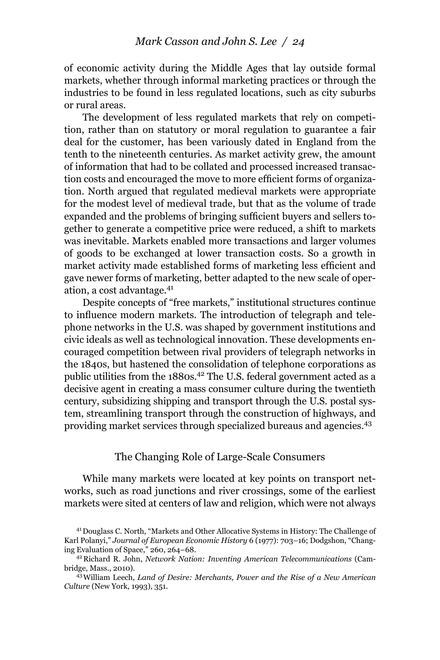of economic activity during the Middle Ages that lay outside formal markets, whether through informal marketing practices or through the industries to be found in less regulated locations, such as city suburbs or rural areas.

The development of less regulated markets that rely on competition, rather than on statutory or moral regulation to guarantee a fair deal for the customer, has been variously dated in England from the tenth to the nineteenth centuries. As market activity grew, the amount of information that had to be collated and processed increased transaction costs and encouraged the move to more efficient forms of organization. North argued that regulated medieval markets were appropriate for the modest level of medieval trade, but that as the volume of trade expanded and the problems of bringing sufficient buyers and sellers together to generate a competitive price were reduced, a shift to markets was inevitable. Markets enabled more transactions and larger volumes of goods to be exchanged at lower transaction costs. So a growth in market activity made established forms of marketing less efficient and gave newer forms of marketing, better adapted to the new scale of operation, a cost advantage.<sup>41</sup>

Despite concepts of "free markets," institutional structures continue to influence modern markets. The introduction of telegraph and telephone networks in the U.S. was shaped by government institutions and civic ideals as well as technological innovation. These developments encouraged competition between rival providers of telegraph networks in the 1840s, but hastened the consolidation of telephone corporations as public utilities from the 1880s.42 The U.S. federal government acted as a decisive agent in creating a mass consumer culture during the twentieth century, subsidizing shipping and transport through the U.S. postal system, streamlining transport through the construction of highways, and providing market services through specialized bureaus and agencies.<sup>43</sup>

### The Changing Role of Large-Scale Consumers

While many markets were located at key points on transport networks, such as road junctions and river crossings, some of the earliest markets were sited at centers of law and religion, which were not always

<sup>41</sup> Douglass C. North, "Markets and Other Allocative Systems in History: The Challenge of Karl Polanyi," *Journal of European Economic History* 6 (1977): 703–16; Dodgshon, "Changing Evaluation of Space," 260, 264–68.

<sup>42</sup> Richard R. John, *Network Nation: Inventing American Telecommunications* (Cambridge, Mass., 2010).

<sup>43</sup> William Leech, *Land of Desire: Merchants, Power and the Rise of a New American Culture* (New York, 1993), 351.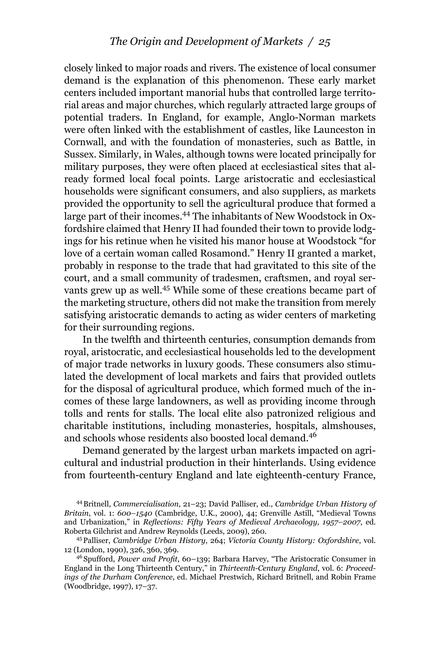closely linked to major roads and rivers. The existence of local consumer demand is the explanation of this phenomenon. These early market centers included important manorial hubs that controlled large territorial areas and major churches, which regularly attracted large groups of potential traders. In England, for example, Anglo-Norman markets were often linked with the establishment of castles, like Launceston in Cornwall, and with the foundation of monasteries, such as Battle, in Sussex. Similarly, in Wales, although towns were located principally for military purposes, they were often placed at ecclesiastical sites that already formed local focal points. Large aristocratic and ecclesiastical households were significant consumers, and also suppliers, as markets provided the opportunity to sell the agricultural produce that formed a large part of their incomes.<sup>44</sup> The inhabitants of New Woodstock in Oxfordshire claimed that Henry II had founded their town to provide lodgings for his retinue when he visited his manor house at Woodstock "for love of a certain woman called Rosamond." Henry II granted a market, probably in response to the trade that had gravitated to this site of the court, and a small community of tradesmen, craftsmen, and royal servants grew up as well.<sup>45</sup> While some of these creations became part of the marketing structure, others did not make the transition from merely satisfying aristocratic demands to acting as wider centers of marketing for their surrounding regions.

In the twelfth and thirteenth centuries, consumption demands from royal, aristocratic, and ecclesiastical households led to the development of major trade networks in luxury goods. These consumers also stimulated the development of local markets and fairs that provided outlets for the disposal of agricultural produce, which formed much of the incomes of these large landowners, as well as providing income through tolls and rents for stalls. The local elite also patronized religious and charitable institutions, including monasteries, hospitals, almshouses, and schools whose residents also boosted local demand.<sup>46</sup>

Demand generated by the largest urban markets impacted on agricultural and industrial production in their hinterlands. Using evidence from fourteenth-century England and late eighteenth-century France,

<sup>44</sup> Britnell, *Commercialisation*, 21–23; David Palliser, ed., *Cambridge Urban History of Britain*, vol. 1: *600–1540* (Cambridge, U.K., 2000), 44; Grenville Astill, "Medieval Towns and Urbanization," in *Reflections: Fifty Years of Medieval Archaeology, 1957-2007*, ed. Roberta Gilchrist and Andrew Reynolds (Leeds, 2009), 260.

<sup>45</sup> Palliser, *Cambridge Urban History*, 264; *Victoria County History: Oxfordshire*, vol. 12 (London, 1990), 326, 360, 369.

<sup>46</sup> Spufford, *Power and Profi t*, 60–139; Barbara Harvey, "The Aristocratic Consumer in England in the Long Thirteenth Century," in *Thirteenth-Century England*, vol. 6: *Proceedings of the Durham Conference*, ed. Michael Prestwich, Richard Britnell, and Robin Frame (Woodbridge, 1997), 17–37.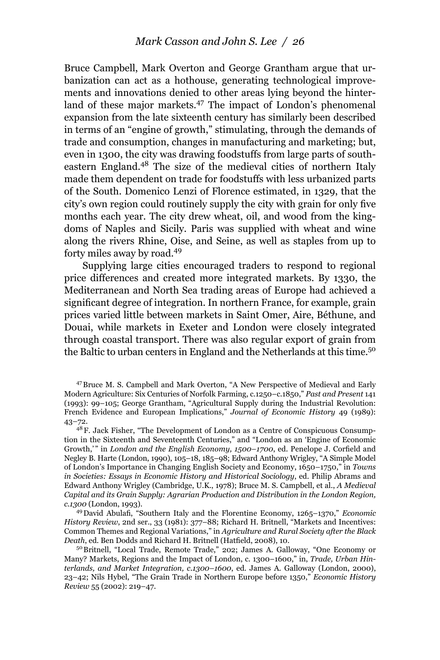Bruce Campbell, Mark Overton and George Grantham argue that urbanization can act as a hothouse, generating technological improvements and innovations denied to other areas lying beyond the hinterland of these major markets.47 The impact of London's phenomenal expansion from the late sixteenth century has similarly been described in terms of an "engine of growth," stimulating, through the demands of trade and consumption, changes in manufacturing and marketing; but, even in 1300, the city was drawing foodstuffs from large parts of southeastern England.48 The size of the medieval cities of northern Italy made them dependent on trade for foodstuffs with less urbanized parts of the South. Domenico Lenzi of Florence estimated, in 1329, that the city's own region could routinely supply the city with grain for only five months each year. The city drew wheat, oil, and wood from the kingdoms of Naples and Sicily. Paris was supplied with wheat and wine along the rivers Rhine, Oise, and Seine, as well as staples from up to forty miles away by road.<sup>49</sup>

Supplying large cities encouraged traders to respond to regional price differences and created more integrated markets. By 1330, the Mediterranean and North Sea trading areas of Europe had achieved a significant degree of integration. In northern France, for example, grain prices varied little between markets in Saint Omer, Aire, Béthune, and Douai, while markets in Exeter and London were closely integrated through coastal transport. There was also regular export of grain from the Baltic to urban centers in England and the Netherlands at this time.<sup>50</sup>

47 Bruce M. S. Campbell and Mark Overton, "A New Perspective of Medieval and Early Modern Agriculture: Six Centuries of Norfolk Farming, c.1250–c.1850," *Past and Present* 141 (1993): 99–105; George Grantham, "Agricultural Supply during the Industrial Revolution: French Evidence and European Implications," *Journal of Economic History* 49 (1989):  $43 - 72.$ 

<sup>48</sup> F. Jack Fisher, "The Development of London as a Centre of Conspicuous Consumption in the Sixteenth and Seventeenth Centuries," and "London as an 'Engine of Economic Growth," in *London and the English Economy, 1500-1700*, ed. Penelope J. Corfield and Negley B. Harte (London, 1990), 105–18, 185–98; Edward Anthony Wrigley, "A Simple Model of London's Importance in Changing English Society and Economy, 1650–1750," in *Towns in Societies: Essays in Economic History and Historical Sociology*, ed. Philip Abrams and Edward Anthony Wrigley (Cambridge, U.K., 1978); Bruce M. S. Campbell, et al., *A Medieval Capital and its Grain Supply: Agrarian Production and Distribution in the London Region, c.1300* (London, 1993).

49 David Abulafi , "Southern Italy and the Florentine Economy, 1265–1370," *Economic History Review*, 2nd ser., 33 (1981): 377–88; Richard H. Britnell, "Markets and Incentives: Common Themes and Regional Variations," in *Agriculture and Rural Society after the Black Death*, ed. Ben Dodds and Richard H. Britnell (Hatfield, 2008), 10.

50 Britnell, "Local Trade, Remote Trade," 202; James A. Galloway, "One Economy or Many? Markets, Regions and the Impact of London, c. 1300–1600," in, *Trade, Urban Hinterlands, and Market Integration, c.1300–1600*, ed. James A. Galloway (London, 2000), 23–42; Nils Hybel, "The Grain Trade in Northern Europe before 1350," *Economic History Review* 55 (2002): 219–47.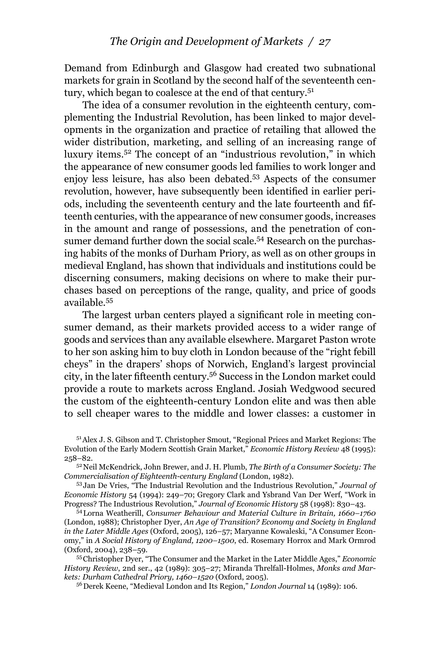Demand from Edinburgh and Glasgow had created two subnational markets for grain in Scotland by the second half of the seventeenth century, which began to coalesce at the end of that century.<sup>51</sup>

The idea of a consumer revolution in the eighteenth century, complementing the Industrial Revolution, has been linked to major developments in the organization and practice of retailing that allowed the wider distribution, marketing, and selling of an increasing range of luxury items.52 The concept of an "industrious revolution," in which the appearance of new consumer goods led families to work longer and enjoy less leisure, has also been debated.53 Aspects of the consumer revolution, however, have subsequently been identified in earlier periods, including the seventeenth century and the late fourteenth and fifteenth centuries, with the appearance of new consumer goods, increases in the amount and range of possessions, and the penetration of consumer demand further down the social scale.<sup>54</sup> Research on the purchasing habits of the monks of Durham Priory, as well as on other groups in medieval England, has shown that individuals and institutions could be discerning consumers, making decisions on where to make their purchases based on perceptions of the range, quality, and price of goods available.55

The largest urban centers played a significant role in meeting consumer demand, as their markets provided access to a wider range of goods and services than any available elsewhere. Margaret Paston wrote to her son asking him to buy cloth in London because of the "right febill cheys" in the drapers' shops of Norwich, England's largest provincial city, in the later fifteenth century.<sup>56</sup> Success in the London market could provide a route to markets across England. Josiah Wedgwood secured the custom of the eighteenth-century London elite and was then able to sell cheaper wares to the middle and lower classes: a customer in

51 Alex J. S. Gibson and T. Christopher Smout, "Regional Prices and Market Regions: The Evolution of the Early Modern Scottish Grain Market," *Economic History Review* 48 (1995): 258–82.

52 Neil McKendrick, John Brewer, and J. H. Plumb, *The Birth of a Consumer Society: The Commercialisation of Eighteenth-century England* (London, 1982).

53 Jan De Vries, "The Industrial Revolution and the Industrious Revolution," *Journal of Economic History* 54 (1994): 249–70; Gregory Clark and Ysbrand Van Der Werf, "Work in Progress? The Industrious Revolution," *Journal of Economic History* 58 (1998): 830–43.

54 Lorna Weatherill, *Consumer Behaviour and Material Culture in Britain, 1660–1760*  (London, 1988); Christopher Dyer, *An Age of Transition? Economy and Society in England in the Later Middle Ages* (Oxford, 2005), 126–57; Maryanne Kowaleski, "A Consumer Economy," in *A Social History of England, 1200–1500*, ed. Rosemary Horrox and Mark Ormrod (Oxford, 2004), 238–59.

55 Christopher Dyer, "The Consumer and the Market in the Later Middle Ages," *Economic History Review*, 2nd ser., 42 (1989): 305–27; Miranda Threlfall-Holmes, *Monks and Markets: Durham Cathedral Priory, 1460–1520* (Oxford, 2005).

56 Derek Keene, "Medieval London and Its Region," *London Journal* 14 (1989): 106.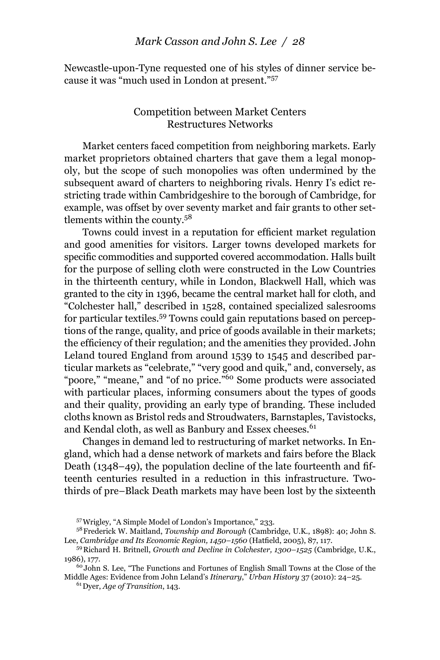Newcastle-upon-Tyne requested one of his styles of dinner service because it was "much used in London at present."<sup>57</sup>

# Competition between Market Centers Restructures Networks

Market centers faced competition from neighboring markets. Early market proprietors obtained charters that gave them a legal monopoly, but the scope of such monopolies was often undermined by the subsequent award of charters to neighboring rivals. Henry I's edict restricting trade within Cambridgeshire to the borough of Cambridge, for example, was offset by over seventy market and fair grants to other settlements within the county.<sup>58</sup>

Towns could invest in a reputation for efficient market regulation and good amenities for visitors. Larger towns developed markets for specific commodities and supported covered accommodation. Halls built for the purpose of selling cloth were constructed in the Low Countries in the thirteenth century, while in London, Blackwell Hall, which was granted to the city in 1396, became the central market hall for cloth, and "Colchester hall," described in 1528, contained specialized salesrooms for particular textiles.59 Towns could gain reputations based on perceptions of the range, quality, and price of goods available in their markets; the efficiency of their regulation; and the amenities they provided. John Leland toured England from around 1539 to 1545 and described particular markets as "celebrate," "very good and quik," and, conversely, as "poore," "meane," and "of no price."60 Some products were associated with particular places, informing consumers about the types of goods and their quality, providing an early type of branding. These included cloths known as Bristol reds and Stroudwaters, Barnstaples, Tavistocks, and Kendal cloth, as well as Banbury and Essex cheeses.<sup>61</sup>

Changes in demand led to restructuring of market networks. In England, which had a dense network of markets and fairs before the Black Death  $(1348-49)$ , the population decline of the late fourteenth and fifteenth centuries resulted in a reduction in this infrastructure. Twothirds of pre–Black Death markets may have been lost by the sixteenth

<sup>57</sup> Wrigley, "A Simple Model of London's Importance," 233.

<sup>58</sup> Frederick W. Maitland, *Township and Borough* (Cambridge, U.K., 1898): 40; John S. Lee, *Cambridge and Its Economic Region, 1450–1560* (Hatfield, 2005), 87, 117.

<sup>59</sup> Richard H. Britnell, *Growth and Decline in Colchester, 1300–1525* (Cambridge, U.K., 1986), 177.

<sup>60</sup> John S. Lee, "The Functions and Fortunes of English Small Towns at the Close of the Middle Ages: Evidence from John Leland's *Itinerary*," *Urban History* 37 (2010): 24–25.

<sup>61</sup> Dyer, *Age of Transition*, 143.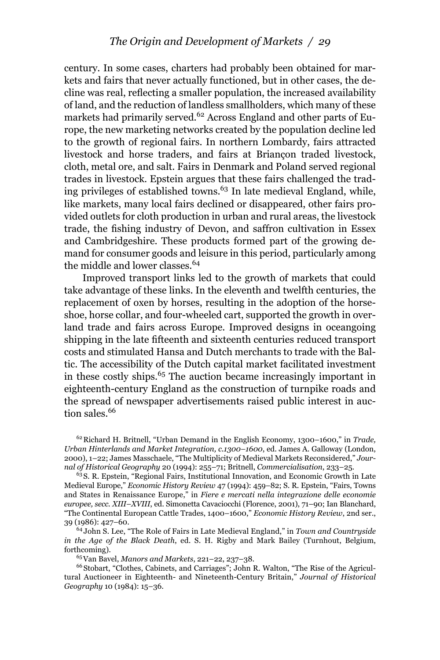century. In some cases, charters had probably been obtained for markets and fairs that never actually functioned, but in other cases, the decline was real, reflecting a smaller population, the increased availability of land, and the reduction of landless smallholders, which many of these markets had primarily served.<sup>62</sup> Across England and other parts of Europe, the new marketing networks created by the population decline led to the growth of regional fairs. In northern Lombardy, fairs attracted livestock and horse traders, and fairs at Briançon traded livestock, cloth, metal ore, and salt. Fairs in Denmark and Poland served regional trades in livestock. Epstein argues that these fairs challenged the trading privileges of established towns.<sup>63</sup> In late medieval England, while, like markets, many local fairs declined or disappeared, other fairs provided outlets for cloth production in urban and rural areas, the livestock trade, the fishing industry of Devon, and saffron cultivation in Essex and Cambridgeshire. These products formed part of the growing demand for consumer goods and leisure in this period, particularly among the middle and lower classes.<sup>64</sup>

Improved transport links led to the growth of markets that could take advantage of these links. In the eleventh and twelfth centuries, the replacement of oxen by horses, resulting in the adoption of the horseshoe, horse collar, and four-wheeled cart, supported the growth in overland trade and fairs across Europe. Improved designs in oceangoing shipping in the late fifteenth and sixteenth centuries reduced transport costs and stimulated Hansa and Dutch merchants to trade with the Baltic. The accessibility of the Dutch capital market facilitated investment in these costly ships.<sup>65</sup> The auction became increasingly important in eighteenth-century England as the construction of turnpike roads and the spread of newspaper advertisements raised public interest in auction sales.<sup>66</sup>

62 Richard H. Britnell, "Urban Demand in the English Economy, 1300–1600," in *Trade, Urban Hinterlands and Market Integration, c.1300–1600*, ed. James A. Galloway (London, 2000), 1–22; James Masschaele, "The Multiplicity of Medieval Markets Reconsidered," *Journal of Historical Geography* 20 (1994): 255–71; Britnell, *Commercialisation*, 233–25.

<sup>63</sup> S. R. Epstein, "Regional Fairs, Institutional Innovation, and Economic Growth in Late Medieval Europe," *Economic History Review* 47 (1994): 459–82; S. R. Epstein, "Fairs, Towns and States in Renaissance Europe," in *Fiere e mercati nella integrazione delle economie europee, secc. XIII–XVIII*, ed. Simonetta Cavaciocchi (Florence, 2001), 71–90; Ian Blanchard, "The Continental European Cattle Trades, 1400–1600," *Economic History Review*, 2nd ser., 39 (1986): 427–60.

64 John S. Lee, "The Role of Fairs in Late Medieval England," in *Town and Countryside in the Age of the Black Death*, ed. S. H. Rigby and Mark Bailey (Turnhout, Belgium, forthcoming).

65 Van Bavel, *Manors and Markets*, 221–22, 237–38.

66 Stobart, "Clothes, Cabinets, and Carriages"; John R. Walton, "The Rise of the Agricultural Auctioneer in Eighteenth- and Nineteenth-Century Britain," *Journal of Historical Geography* 10 (1984): 15–36.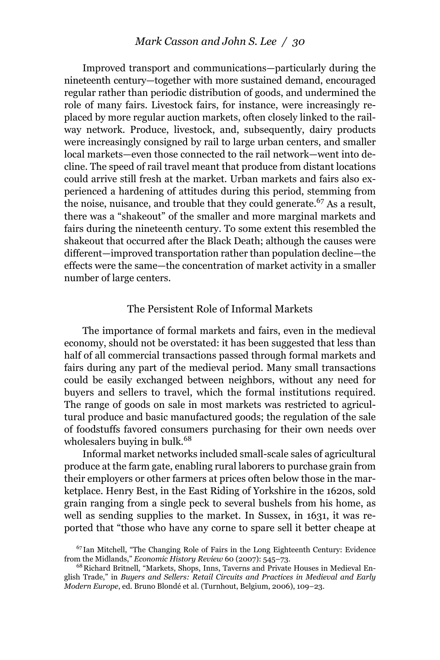Improved transport and communications—particularly during the nineteenth century—together with more sustained demand, encouraged regular rather than periodic distribution of goods, and undermined the role of many fairs. Livestock fairs, for instance, were increasingly replaced by more regular auction markets, often closely linked to the railway network. Produce, livestock, and, subsequently, dairy products were increasingly consigned by rail to large urban centers, and smaller local markets—even those connected to the rail network—went into decline. The speed of rail travel meant that produce from distant locations could arrive still fresh at the market. Urban markets and fairs also experienced a hardening of attitudes during this period, stemming from the noise, nuisance, and trouble that they could generate.<sup>67</sup> As a result, there was a "shakeout" of the smaller and more marginal markets and fairs during the nineteenth century. To some extent this resembled the shakeout that occurred after the Black Death; although the causes were different—improved transportation rather than population decline—the effects were the same—the concentration of market activity in a smaller number of large centers.

## The Persistent Role of Informal Markets

The importance of formal markets and fairs, even in the medieval economy, should not be overstated: it has been suggested that less than half of all commercial transactions passed through formal markets and fairs during any part of the medieval period. Many small transactions could be easily exchanged between neighbors, without any need for buyers and sellers to travel, which the formal institutions required. The range of goods on sale in most markets was restricted to agricultural produce and basic manufactured goods; the regulation of the sale of foodstuffs favored consumers purchasing for their own needs over wholesalers buying in bulk.<sup>68</sup>

Informal market networks included small-scale sales of agricultural produce at the farm gate, enabling rural laborers to purchase grain from their employers or other farmers at prices often below those in the marketplace. Henry Best, in the East Riding of Yorkshire in the 1620s, sold grain ranging from a single peck to several bushels from his home, as well as sending supplies to the market. In Sussex, in 1631, it was reported that "those who have any corne to spare sell it better cheape at

<sup>67</sup> Ian Mitchell, "The Changing Role of Fairs in the Long Eighteenth Century: Evidence from the Midlands," *Economic History Review* 60 (2007): 545–73.

<sup>68</sup> Richard Britnell, "Markets, Shops, Inns, Taverns and Private Houses in Medieval English Trade," in *Buyers and Sellers: Retail Circuits and Practices in Medieval and Early Modern Europe*, ed. Bruno Blondé et al. (Turnhout, Belgium, 2006), 109–23.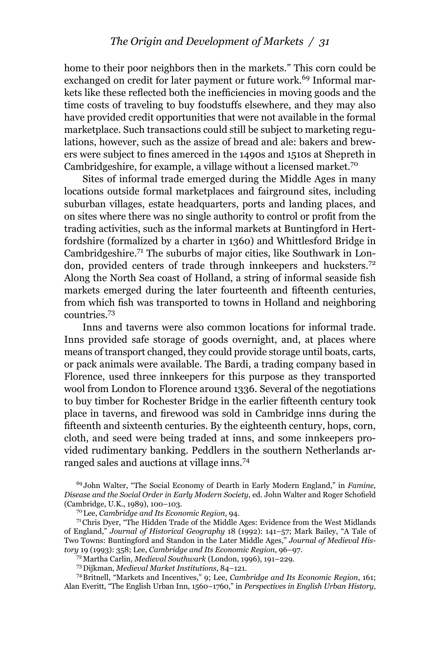home to their poor neighbors then in the markets." This corn could be exchanged on credit for later payment or future work.<sup>69</sup> Informal markets like these reflected both the inefficiencies in moving goods and the time costs of traveling to buy foodstuffs elsewhere, and they may also have provided credit opportunities that were not available in the formal marketplace. Such transactions could still be subject to marketing regulations, however, such as the assize of bread and ale: bakers and brewers were subject to fines amerced in the 1490s and 1510s at Shepreth in Cambridgeshire, for example, a village without a licensed market.<sup>70</sup>

Sites of informal trade emerged during the Middle Ages in many locations outside formal marketplaces and fairground sites, including suburban villages, estate headquarters, ports and landing places, and on sites where there was no single authority to control or profi t from the trading activities, such as the informal markets at Buntingford in Hertfordshire (formalized by a charter in 1360) and Whittlesford Bridge in Cambridgeshire.<sup>71</sup> The suburbs of major cities, like Southwark in London, provided centers of trade through innkeepers and hucksters.<sup>72</sup> Along the North Sea coast of Holland, a string of informal seaside fish markets emerged during the later fourteenth and fifteenth centuries, from which fish was transported to towns in Holland and neighboring countries.<sup>73</sup>

Inns and taverns were also common locations for informal trade. Inns provided safe storage of goods overnight, and, at places where means of transport changed, they could provide storage until boats, carts, or pack animals were available. The Bardi, a trading company based in Florence, used three innkeepers for this purpose as they transported wool from London to Florence around 1336. Several of the negotiations to buy timber for Rochester Bridge in the earlier fifteenth century took place in taverns, and firewood was sold in Cambridge inns during the fifteenth and sixteenth centuries. By the eighteenth century, hops, corn, cloth, and seed were being traded at inns, and some innkeepers provided rudimentary banking. Peddlers in the southern Netherlands arranged sales and auctions at village inns.<sup>74</sup>

69 John Walter, "The Social Economy of Dearth in Early Modern England," in *Famine,*  Disease and the Social Order in Early Modern Society, ed. John Walter and Roger Schofield (Cambridge, U.K., 1989), 100–103.

70 Lee, *Cambridge and Its Economic Region*, 94.

71 Chris Dyer, "The Hidden Trade of the Middle Ages: Evidence from the West Midlands of England," *Journal of Historical Geography* 18 (1992): 141–57; Mark Bailey, "A Tale of Two Towns: Buntingford and Standon in the Later Middle Ages," *Journal of Medieval History* 19 (1993): 358; Lee, *Cambridge and Its Economic Region*, 96–97.

72 Martha Carlin, *Medieval Southwark* (London, 1996), 191–229.

73 Dijkman, *Medieval Market Institutions*, 84–121.

74 Britnell, "Markets and Incentives," 9; Lee, *Cambridge and Its Economic Region*, 161; Alan Everitt, "The English Urban Inn, 1560–1760," in *Perspectives in English Urban History*,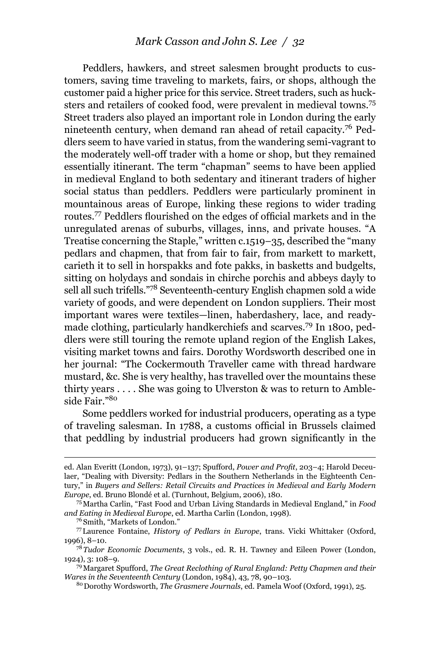Peddlers, hawkers, and street salesmen brought products to customers, saving time traveling to markets, fairs, or shops, although the customer paid a higher price for this service. Street traders, such as hucksters and retailers of cooked food, were prevalent in medieval towns.<sup>75</sup> Street traders also played an important role in London during the early nineteenth century, when demand ran ahead of retail capacity.76 Peddlers seem to have varied in status, from the wandering semi-vagrant to the moderately well-off trader with a home or shop, but they remained essentially itinerant. The term "chapman" seems to have been applied in medieval England to both sedentary and itinerant traders of higher social status than peddlers. Peddlers were particularly prominent in mountainous areas of Europe, linking these regions to wider trading routes.<sup>77</sup> Peddlers flourished on the edges of official markets and in the unregulated arenas of suburbs, villages, inns, and private houses. "A Treatise concerning the Staple," written c.1519–35, described the "many pedlars and chapmen, that from fair to fair, from markett to markett, carieth it to sell in horspakks and fote pakks, in basketts and budgelts, sitting on holydays and sondais in chirche porchis and abbeys dayly to sell all such trifells."78 Seventeenth-century English chapmen sold a wide variety of goods, and were dependent on London suppliers. Their most important wares were textiles—linen, haberdashery, lace, and readymade clothing, particularly handkerchiefs and scarves.79 In 1800, peddlers were still touring the remote upland region of the English Lakes, visiting market towns and fairs. Dorothy Wordsworth described one in her journal: "The Cockermouth Traveller came with thread hardware mustard, &c. She is very healthy, has travelled over the mountains these thirty years . . . . She was going to Ulverston & was to return to Ambleside Fair."<sup>80</sup>

Some peddlers worked for industrial producers, operating as a type of traveling salesman. In 1788, a customs official in Brussels claimed that peddling by industrial producers had grown significantly in the

ed. Alan Everitt (London, 1973), 91-137; Spufford, *Power and Profit*, 203-4; Harold Deceulaer, "Dealing with Diversity: Pedlars in the Southern Netherlands in the Eighteenth Century," in *Buyers and Sellers: Retail Circuits and Practices in Medieval and Early Modern Europe*, ed. Bruno Blondé et al. (Turnhout, Belgium, 2006), 180.

<sup>75</sup> Martha Carlin, "Fast Food and Urban Living Standards in Medieval England," in *Food and Eating in Medieval Europe*, ed. Martha Carlin (London, 1998).

<sup>76</sup> Smith, "Markets of London."

<sup>77</sup> Laurence Fontaine, *History of Pedlars in Europe*, trans. Vicki Whittaker (Oxford, 1996), 8–10.

<sup>78</sup>*Tudor Economic Documents*, 3 vols., ed. R. H. Tawney and Eileen Power (London, 1924), 3: 108–9.

<sup>79</sup> Margaret Spufford, *The Great Reclothing of Rural England: Petty Chapmen and their Wares in the Seventeenth Century* (London, 1984), 43, 78, 90–103.

<sup>80</sup> Dorothy Wordsworth, *The Grasmere Journals*, ed. Pamela Woof (Oxford, 1991), 25.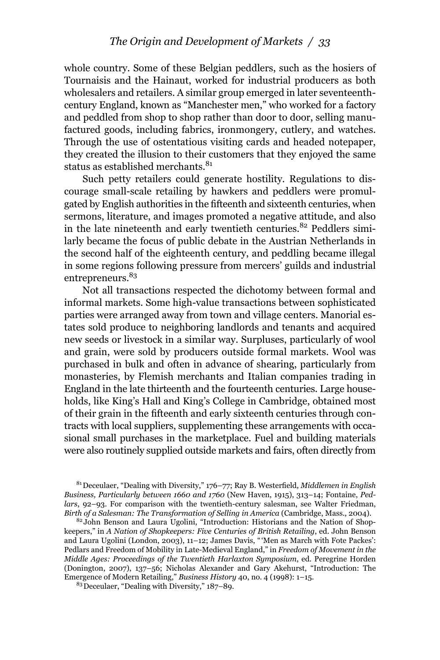whole country. Some of these Belgian peddlers, such as the hosiers of Tournaisis and the Hainaut, worked for industrial producers as both wholesalers and retailers. A similar group emerged in later seventeenthcentury England, known as "Manchester men," who worked for a factory and peddled from shop to shop rather than door to door, selling manufactured goods, including fabrics, ironmongery, cutlery, and watches. Through the use of ostentatious visiting cards and headed notepaper, they created the illusion to their customers that they enjoyed the same status as established merchants.<sup>81</sup>

Such petty retailers could generate hostility. Regulations to discourage small-scale retailing by hawkers and peddlers were promulgated by English authorities in the fifteenth and sixteenth centuries, when sermons, literature, and images promoted a negative attitude, and also in the late nineteenth and early twentieth centuries.<sup>82</sup> Peddlers similarly became the focus of public debate in the Austrian Netherlands in the second half of the eighteenth century, and peddling became illegal in some regions following pressure from mercers' guilds and industrial entrepreneurs.<sup>83</sup>

Not all transactions respected the dichotomy between formal and informal markets. Some high-value transactions between sophisticated parties were arranged away from town and village centers. Manorial estates sold produce to neighboring landlords and tenants and acquired new seeds or livestock in a similar way. Surpluses, particularly of wool and grain, were sold by producers outside formal markets. Wool was purchased in bulk and often in advance of shearing, particularly from monasteries, by Flemish merchants and Italian companies trading in England in the late thirteenth and the fourteenth centuries. Large households, like King's Hall and King's College in Cambridge, obtained most of their grain in the fifteenth and early sixteenth centuries through contracts with local suppliers, supplementing these arrangements with occasional small purchases in the marketplace. Fuel and building materials were also routinely supplied outside markets and fairs, often directly from

<sup>81</sup> Deceulaer, "Dealing with Diversity," 176–77; Ray B. Westerfield, *Middlemen in English Business, Particularly between 1660 and 1760* (New Haven, 1915), 313–14; Fontaine, *Pedlars*, 92–93. For comparison with the twentieth-century salesman, see Walter Friedman, *Birth of a Salesman: The Transformation of Selling in America* (Cambridge, Mass., 2004).

82 John Benson and Laura Ugolini, "Introduction: Historians and the Nation of Shopkeepers," in *A Nation of Shopkeepers: Five Centuries of British Retailing*, ed. John Benson and Laura Ugolini (London, 2003), 11–12; James Davis, " 'Men as March with Fote Packes': Pedlars and Freedom of Mobility in Late-Medieval England," in *Freedom of Movement in the Middle Ages: Proceedings of the Twentieth Harlaxton Symposium*, ed. Peregrine Horden (Donington, 2007), 137–56; Nicholas Alexander and Gary Akehurst, "Introduction: The Emergence of Modern Retailing," *Business History* 40, no. 4 (1998): 1–15.

83 Deceulaer, "Dealing with Diversity," 187–89.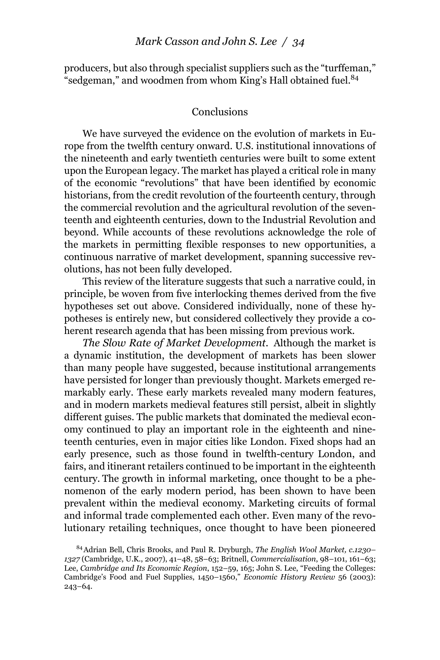# *Mark Casson and John S. Lee / 34*

producers, but also through specialist suppliers such as the "turffeman," "sedgeman," and woodmen from whom King's Hall obtained fuel. $84$ 

#### Conclusions

We have surveyed the evidence on the evolution of markets in Europe from the twelfth century onward. U.S. institutional innovations of the nineteenth and early twentieth centuries were built to some extent upon the European legacy. The market has played a critical role in many of the economic "revolutions" that have been identified by economic historians, from the credit revolution of the fourteenth century, through the commercial revolution and the agricultural revolution of the seventeenth and eighteenth centuries, down to the Industrial Revolution and beyond. While accounts of these revolutions acknowledge the role of the markets in permitting flexible responses to new opportunities, a continuous narrative of market development, spanning successive revolutions, has not been fully developed.

This review of the literature suggests that such a narrative could, in principle, be woven from five interlocking themes derived from the five hypotheses set out above. Considered individually, none of these hypotheses is entirely new, but considered collectively they provide a coherent research agenda that has been missing from previous work.

*The Slow Rate of Market Development.* Although the market is a dynamic institution, the development of markets has been slower than many people have suggested, because institutional arrangements have persisted for longer than previously thought. Markets emerged remarkably early. These early markets revealed many modern features, and in modern markets medieval features still persist, albeit in slightly different guises. The public markets that dominated the medieval economy continued to play an important role in the eighteenth and nineteenth centuries, even in major cities like London. Fixed shops had an early presence, such as those found in twelfth-century London, and fairs, and itinerant retailers continued to be important in the eighteenth century. The growth in informal marketing, once thought to be a phenomenon of the early modern period, has been shown to have been prevalent within the medieval economy. Marketing circuits of formal and informal trade complemented each other. Even many of the revolutionary retailing techniques, once thought to have been pioneered

<sup>84</sup> Adrian Bell, Chris Brooks, and Paul R. Dryburgh, *The English Wool Market, c.1230– 1327* (Cambridge, U.K., 2007), 41–48, 58–63; Britnell, *Commercialisation*, 98–101, 161–63; Lee, *Cambridge and Its Economic Region*, 152–59, 165; John S. Lee, "Feeding the Colleges: Cambridge's Food and Fuel Supplies, 1450–1560," *Economic History Review* 56 (2003): 243–64.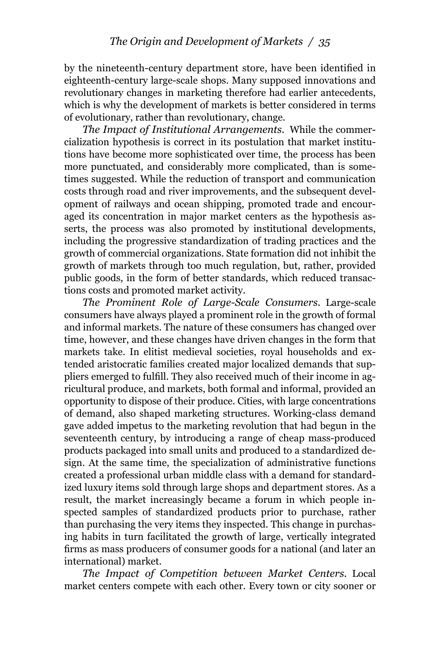by the nineteenth-century department store, have been identified in eighteenth-century large-scale shops. Many supposed innovations and revolutionary changes in marketing therefore had earlier antecedents, which is why the development of markets is better considered in terms of evolutionary, rather than revolutionary, change.

*The Impact of Institutional Arrangements.* While the commercialization hypothesis is correct in its postulation that market institutions have become more sophisticated over time, the process has been more punctuated, and considerably more complicated, than is sometimes suggested. While the reduction of transport and communication costs through road and river improvements, and the subsequent development of railways and ocean shipping, promoted trade and encouraged its concentration in major market centers as the hypothesis asserts, the process was also promoted by institutional developments, including the progressive standardization of trading practices and the growth of commercial organizations. State formation did not inhibit the growth of markets through too much regulation, but, rather, provided public goods, in the form of better standards, which reduced transactions costs and promoted market activity.

*The Prominent Role of Large-Scale Consumers.* Large-scale consumers have always played a prominent role in the growth of formal and informal markets. The nature of these consumers has changed over time, however, and these changes have driven changes in the form that markets take. In elitist medieval societies, royal households and extended aristocratic families created major localized demands that suppliers emerged to fulfill. They also received much of their income in agricultural produce, and markets, both formal and informal, provided an opportunity to dispose of their produce. Cities, with large concentrations of demand, also shaped marketing structures. Working-class demand gave added impetus to the marketing revolution that had begun in the seventeenth century, by introducing a range of cheap mass-produced products packaged into small units and produced to a standardized design. At the same time, the specialization of administrative functions created a professional urban middle class with a demand for standardized luxury items sold through large shops and department stores. As a result, the market increasingly became a forum in which people inspected samples of standardized products prior to purchase, rather than purchasing the very items they inspected. This change in purchasing habits in turn facilitated the growth of large, vertically integrated firms as mass producers of consumer goods for a national (and later an international) market.

*The Impact of Competition between Market Centers.* Local market centers compete with each other. Every town or city sooner or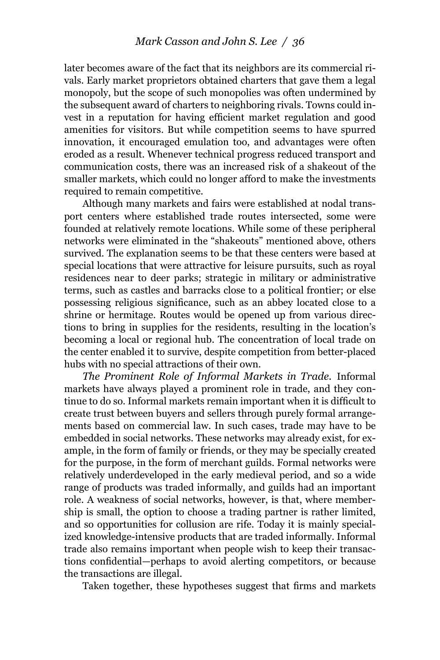later becomes aware of the fact that its neighbors are its commercial rivals. Early market proprietors obtained charters that gave them a legal monopoly, but the scope of such monopolies was often undermined by the subsequent award of charters to neighboring rivals. Towns could invest in a reputation for having efficient market regulation and good amenities for visitors. But while competition seems to have spurred innovation, it encouraged emulation too, and advantages were often eroded as a result. Whenever technical progress reduced transport and communication costs, there was an increased risk of a shakeout of the smaller markets, which could no longer afford to make the investments required to remain competitive.

Although many markets and fairs were established at nodal transport centers where established trade routes intersected, some were founded at relatively remote locations. While some of these peripheral networks were eliminated in the "shakeouts" mentioned above, others survived. The explanation seems to be that these centers were based at special locations that were attractive for leisure pursuits, such as royal residences near to deer parks; strategic in military or administrative terms, such as castles and barracks close to a political frontier; or else possessing religious significance, such as an abbey located close to a shrine or hermitage. Routes would be opened up from various directions to bring in supplies for the residents, resulting in the location's becoming a local or regional hub. The concentration of local trade on the center enabled it to survive, despite competition from better-placed hubs with no special attractions of their own.

*The Prominent Role of Informal Markets in Trade.* Informal markets have always played a prominent role in trade, and they continue to do so. Informal markets remain important when it is difficult to create trust between buyers and sellers through purely formal arrangements based on commercial law. In such cases, trade may have to be embedded in social networks. These networks may already exist, for example, in the form of family or friends, or they may be specially created for the purpose, in the form of merchant guilds. Formal networks were relatively underdeveloped in the early medieval period, and so a wide range of products was traded informally, and guilds had an important role. A weakness of social networks, however, is that, where membership is small, the option to choose a trading partner is rather limited, and so opportunities for collusion are rife. Today it is mainly specialized knowledge-intensive products that are traded informally. Informal trade also remains important when people wish to keep their transactions confidential—perhaps to avoid alerting competitors, or because the transactions are illegal.

Taken together, these hypotheses suggest that firms and markets